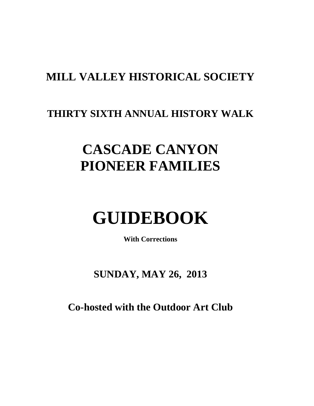# **MILL VALLEY HISTORICAL SOCIETY**

# **THIRTY SIXTH ANNUAL HISTORY WALK**

# **CASCADE CANYON PIONEER FAMILIES**

# **GUIDEBOOK**

**With Corrections**

**SUNDAY, MAY 26, 2013**

**Co-hosted with the Outdoor Art Club**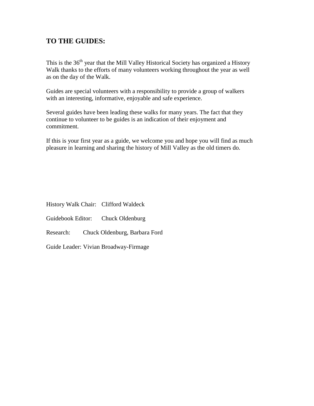# **TO THE GUIDES:**

This is the 36<sup>th</sup> year that the Mill Valley Historical Society has organized a History Walk thanks to the efforts of many volunteers working throughout the year as well as on the day of the Walk.

Guides are special volunteers with a responsibility to provide a group of walkers with an interesting, informative, enjoyable and safe experience.

Several guides have been leading these walks for many years. The fact that they continue to volunteer to be guides is an indication of their enjoyment and commitment.

If this is your first year as a guide, we welcome you and hope you will find as much pleasure in learning and sharing the history of Mill Valley as the old timers do.

History Walk Chair: Clifford Waldeck

Guidebook Editor: Chuck Oldenburg

Research: Chuck Oldenburg, Barbara Ford

Guide Leader: Vivian Broadway-Firmage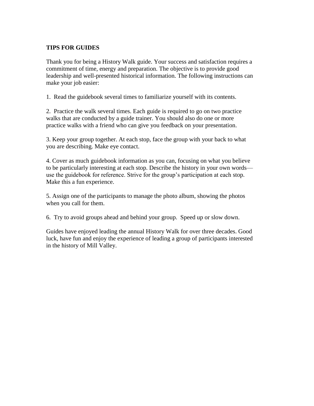#### **TIPS FOR GUIDES**

Thank you for being a History Walk guide. Your success and satisfaction requires a commitment of time, energy and preparation. The objective is to provide good leadership and well-presented historical information. The following instructions can make your job easier:

1. Read the guidebook several times to familiarize yourself with its contents.

2. Practice the walk several times. Each guide is required to go on two practice walks that are conducted by a guide trainer. You should also do one or more practice walks with a friend who can give you feedback on your presentation.

3. Keep your group together. At each stop, face the group with your back to what you are describing. Make eye contact.

4. Cover as much guidebook information as you can, focusing on what you believe to be particularly interesting at each stop. Describe the history in your own words use the guidebook for reference. Strive for the group's participation at each stop. Make this a fun experience.

5. Assign one of the participants to manage the photo album, showing the photos when you call for them.

6. Try to avoid groups ahead and behind your group. Speed up or slow down.

Guides have enjoyed leading the annual History Walk for over three decades. Good luck, have fun and enjoy the experience of leading a group of participants interested in the history of Mill Valley.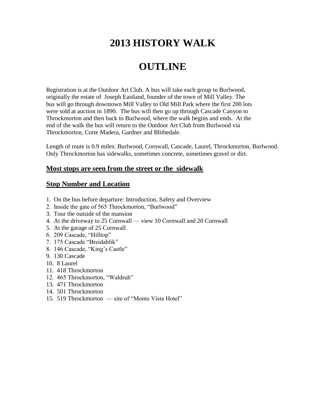# **2013 HISTORY WALK**

# **OUTLINE**

Registration is at the Outdoor Art Club. A bus will take each group to Burlwood, originally the estate of Joseph Eastland, founder of the town of Mill Valley. The bus will go through downtown Mill Valley to Old Mill Park where the first 200 lots were sold at auction in 1890. The bus will then go up through Cascade Canyon to Throckmorton and then back to Burlwood, where the walk begins and ends. At the end of the walk the bus will return to the Outdoor Art Club from Burlwood via Throckmorton, Corte Madera, Gardner and Blithedale.

Length of route is 0.9 miles: Burlwood, Cornwall, Cascade, Laurel, Throckmorton, Burlwood. Only Throckmorton has sidewalks, sometimes concrete, sometimes gravel or dirt.

#### **Most stops are seen from the street or the sidewalk**

#### **Stop Number and Location**

- 1. On the bus before departure: Introduction, Safety and Overview
- 2. Inside the gate of 565 Throckmorton, "Burlwood"
- 3. Tour the outside of the mansion
- 4. At the driveway to 25 Cornwall view 10 Cornwall and 20 Cornwall
- 5. At the garage of 25 Cornwall
- 6. 209 Cascade, "Hilltop"
- 7. 175 Cascade "Breidablik"
- 8. 146 Cascade, "King's Castle"
- 9. 130 Cascade
- 10. 8 Laurel
- 11. 418 Throckmorton
- 12. 465 Throckmorton, "Waldruh"
- 13. 471 Throckmorton
- 14. 501 Throckmorton
- 15. 519 Throckmorton site of "Monte Vista Hotel"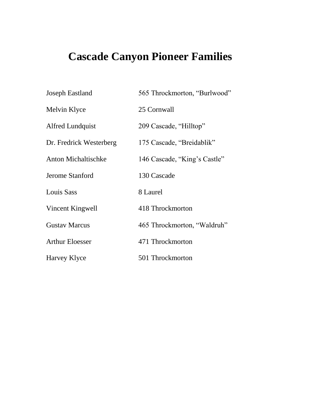# **Cascade Canyon Pioneer Families**

| <b>Joseph Eastland</b>     | 565 Throckmorton, "Burlwood" |
|----------------------------|------------------------------|
| Melvin Klyce               | 25 Cornwall                  |
| <b>Alfred Lundquist</b>    | 209 Cascade, "Hilltop"       |
| Dr. Fredrick Westerberg    | 175 Cascade, "Breidablik"    |
| <b>Anton Michaltischke</b> | 146 Cascade, "King's Castle" |
| Jerome Stanford            | 130 Cascade                  |
| <b>Louis Sass</b>          | 8 Laurel                     |
| Vincent Kingwell           | 418 Throckmorton             |
| <b>Gustav Marcus</b>       | 465 Throckmorton, "Waldruh"  |
| <b>Arthur Eloesser</b>     | 471 Throckmorton             |
| Harvey Klyce               | 501 Throckmorton             |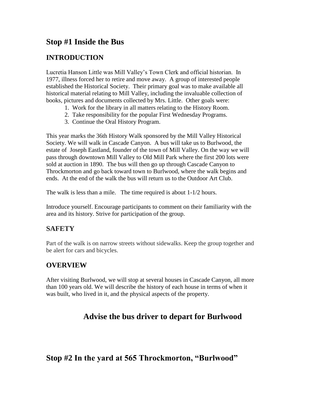# **Stop #1 Inside the Bus**

# **INTRODUCTION**

Lucretia Hanson Little was Mill Valley's Town Clerk and official historian. In 1977, illness forced her to retire and move away. A group of interested people established the Historical Society. Their primary goal was to make available all historical material relating to Mill Valley, including the invaluable collection of books, pictures and documents collected by Mrs. Little. Other goals were:

- 1. Work for the library in all matters relating to the History Room.
- 2. Take responsibility for the popular First Wednesday Programs.
- 3. Continue the Oral History Program.

This year marks the 36th History Walk sponsored by the Mill Valley Historical Society. We will walk in Cascade Canyon. A bus will take us to Burlwood, the estate of Joseph Eastland, founder of the town of Mill Valley. On the way we will pass through downtown Mill Valley to Old Mill Park where the first 200 lots were sold at auction in 1890. The bus will then go up through Cascade Canyon to Throckmorton and go back toward town to Burlwood, where the walk begins and ends. At the end of the walk the bus will return us to the Outdoor Art Club.

The walk is less than a mile. The time required is about 1-1/2 hours.

Introduce yourself. Encourage participants to comment on their familiarity with the area and its history. Strive for participation of the group.

## **SAFETY**

Part of the walk is on narrow streets without sidewalks. Keep the group together and be alert for cars and bicycles.

## **OVERVIEW**

After visiting Burlwood, we will stop at several houses in Cascade Canyon, all more than 100 years old. We will describe the history of each house in terms of when it was built, who lived in it, and the physical aspects of the property.

# **Advise the bus driver to depart for Burlwood**

# **Stop #2 In the yard at 565 Throckmorton, "Burlwood"**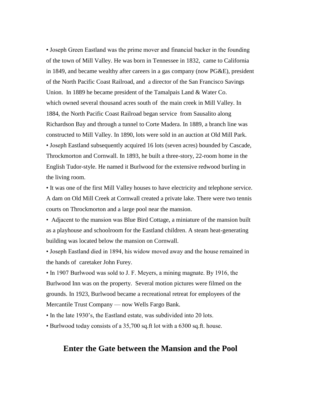• Joseph Green Eastland was the prime mover and financial backer in the founding of the town of Mill Valley. He was born in Tennessee in 1832, came to California in 1849, and became wealthy after careers in a gas company (now PG&E), president of the North Pacific Coast Railroad, and a director of the San Francisco Savings Union. In 1889 he became president of the Tamalpais Land & Water Co. which owned several thousand acres south of the main creek in Mill Valley. In 1884, the North Pacific Coast Railroad began service from Sausalito along Richardson Bay and through a tunnel to Corte Madera. In 1889, a branch line was constructed to Mill Valley. In 1890, lots were sold in an auction at Old Mill Park. • Joseph Eastland subsequently acquired 16 lots (seven acres) bounded by Cascade, Throckmorton and Cornwall. In 1893, he built a three-story, 22-room home in the English Tudor-style. He named it Burlwood for the extensive redwood burling in the living room.

• It was one of the first Mill Valley houses to have electricity and telephone service. A dam on Old Mill Creek at Cornwall created a private lake. There were two tennis courts on Throckmorton and a large pool near the mansion.

• Adjacent to the mansion was Blue Bird Cottage, a miniature of the mansion built as a playhouse and schoolroom for the Eastland children. A steam heat-generating building was located below the mansion on Cornwall.

• Joseph Eastland died in 1894, his widow moved away and the house remained in the hands of caretaker John Furey.

• In 1907 Burlwood was sold to J. F. Meyers, a mining magnate. By 1916, the Burlwood Inn was on the property. Several motion pictures were filmed on the grounds. In 1923, Burlwood became a recreational retreat for employees of the Mercantile Trust Company — now Wells Fargo Bank.

• In the late 1930's, the Eastland estate, was subdivided into 20 lots.

• Burlwood today consists of a 35,700 sq.ft lot with a 6300 sq.ft. house.

#### **Enter the Gate between the Mansion and the Pool**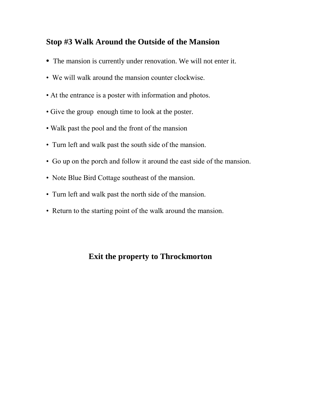# **Stop #3 Walk Around the Outside of the Mansion**

- The mansion is currently under renovation. We will not enter it.
- We will walk around the mansion counter clockwise.
- At the entrance is a poster with information and photos.
- Give the group enough time to look at the poster.
- Walk past the pool and the front of the mansion
- Turn left and walk past the south side of the mansion.
- Go up on the porch and follow it around the east side of the mansion.
- Note Blue Bird Cottage southeast of the mansion.
- Turn left and walk past the north side of the mansion.
- Return to the starting point of the walk around the mansion.

# **Exit the property to Throckmorton**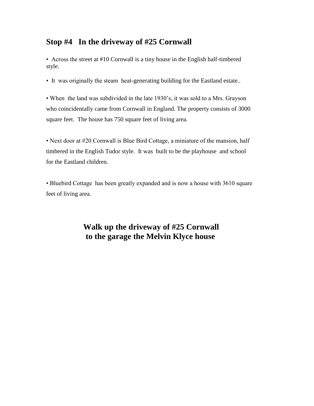# **Stop #4 In the driveway of #25 Cornwall**

• Across the street at #10 Cornwall is a tiny house in the English half-timbered style.

• It was originally the steam heat-generating building for the Eastland estate..

• When the land was subdivided in the late 1930's, it was sold to a Mrs. Grayson who coincidentally came from Cornwall in England. The property consists of 3000 square feet. The house has 750 square feet of living area.

• Next door at #20 Cornwall is Blue Bird Cottage, a miniature of the mansion, half timbered in the English Tudor style. It was built to be the playhouse and school for the Eastland children.

• Bluebird Cottage has been greatly expanded and is now a house with 3610 square feet of living area.

# **Walk up the driveway of #25 Cornwall to the garage the Melvin Klyce house**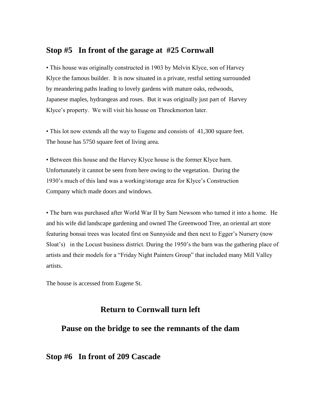#### **Stop #5 In front of the garage at #25 Cornwall**

• This house was originally constructed in 1903 by Melvin Klyce, son of Harvey Klyce the famous builder. It is now situated in a private, restful setting surrounded by meandering paths leading to lovely gardens with mature oaks, redwoods, Japanese maples, hydrangeas and roses. But it was originally just part of Harvey Klyce's property. We will visit his house on Throckmorton later.

• This lot now extends all the way to Eugene and consists of 41,300 square feet. The house has 5750 square feet of living area.

• Between this house and the Harvey Klyce house is the former Klyce barn. Unfortunately it cannot be seen from here owing to the vegetation. During the 1930's much of this land was a working/storage area for Klyce's Construction Company which made doors and windows.

• The barn was purchased after World War II by Sam Newsom who turned it into a home. He and his wife did landscape gardening and owned The Greenwood Tree, an oriental art store featuring bonsai trees was located first on Sunnyside and then next to Egger's Nursery (now Sloat's) in the Locust business district. During the 1950's the barn was the gathering place of artists and their models for a "Friday Night Painters Group" that included many Mill Valley artists.

The house is accessed from Eugene St.

#### **Return to Cornwall turn left**

## **Pause on the bridge to see the remnants of the dam**

#### **Stop #6 In front of 209 Cascade**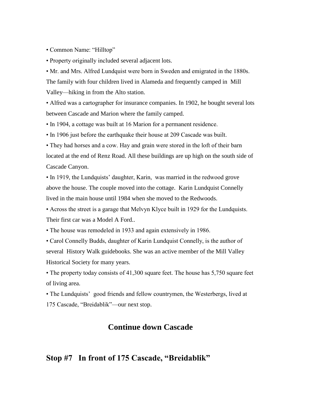• Common Name: "Hilltop"

• Property originally included several adjacent lots.

• Mr. and Mrs. Alfred Lundquist were born in Sweden and emigrated in the 1880s. The family with four children lived in Alameda and frequently camped in Mill Valley—hiking in from the Alto station.

• Alfred was a cartographer for insurance companies. In 1902, he bought several lots between Cascade and Marion where the family camped.

• In 1904, a cottage was built at 16 Marion for a permanent residence.

• In 1906 just before the earthquake their house at 209 Cascade was built.

• They had horses and a cow. Hay and grain were stored in the loft of their barn located at the end of Renz Road. All these buildings are up high on the south side of Cascade Canyon.

• In 1919, the Lundquists' daughter, Karin, was married in the redwood grove above the house. The couple moved into the cottage. Karin Lundquist Connelly lived in the main house until 1984 when she moved to the Redwoods.

• Across the street is a garage that Melvyn Klyce built in 1929 for the Lundquists. Their first car was a Model A Ford..

• The house was remodeled in 1933 and again extensively in 1986.

• Carol Connelly Budds, daughter of Karin Lundquist Connelly, is the author of several History Walk guidebooks. She was an active member of the Mill Valley Historical Society for many years.

• The property today consists of 41,300 square feet. The house has 5,750 square feet of living area.

• The Lundquists' good friends and fellow countrymen, the Westerbergs, lived at 175 Cascade, "Breidablik"—our next stop.

#### **Continue down Cascade**

#### **Stop #7 In front of 175 Cascade, "Breidablik"**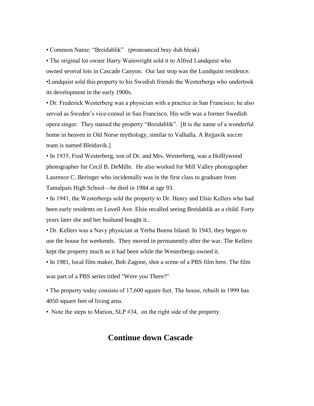• Common Name: "Breidablik" (pronounced bray duh bleak)

• The original lot owner Harry Wainwright sold it to Alfred Lundquist who owned several lots in Cascade Canyon. Our last stop was the Lundquist residence. •Lundquist sold this property to his Swedish friends the Westerbergs who undertook its development in the early 1900s.

• Dr. Frederick Westerberg was a physician with a practice in San Francisco; he also served as Sweden's vice-consul in San Francisco. His wife was a former Swedish opera singer. They named the property "Breidablik". [It is the name of a wonderful home in heaven in Old Norse mythology, similar to Valhalla. A Rejjavik soccer team is named Bleidavik.]

• In 1935, Fred Westerberg, son of Dr. and Mrs. Westerberg, was a Holllywood photographer for Cecil B. DeMille. He also worked for Mill Valley photographer Laurence C. Beringer who incidentally was in the first class to graduate from Tamalpais High School—he died in 1984 at age 93.

• In 1941, the Westerbergs sold the property to Dr. Henry and Elsie Kellers who had been early residents on Lovell Ave. Elsie recalled seeing Breidablik as a child. Forty years later she and her husband bought it..

• Dr. Kellers was a Navy physician at Yerba Buena Island. In 1943, they began to use the house for weekends. They moved in permanently after the war. The Kellers kept the property much as it had been while the Westerbergs owned it.

• In 1981, local film maker, Bob Zagone, shot a scene of a PBS film here. The film

was part of a PBS series titled "Were you There?"

• The property today consists of 17,600 square feet. The house, rebuilt in 1999 has 4050 square feet of living area.

• Note the steps to Marion, SLP #34, on the right side of the property.

#### **Continue down Cascade**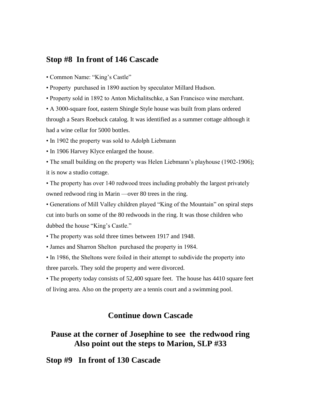#### **Stop #8 In front of 146 Cascade**

• Common Name: "King's Castle"

• Property purchased in 1890 auction by speculator Millard Hudson.

• Property sold in 1892 to Anton Michalitschke, a San Francisco wine merchant.

• A 3000-square foot, eastern Shingle Style house was built from plans ordered through a Sears Roebuck catalog. It was identified as a summer cottage although it had a wine cellar for 5000 bottles.

• In 1902 the property was sold to Adolph Liebmann

• In 1906 Harvey Klyce enlarged the house.

• The small building on the property was Helen Liebmann's playhouse (1902-1906); it is now a studio cottage.

• The property has over 140 redwood trees including probably the largest privately owned redwood ring in Marin —over 80 trees in the ring.

• Generations of Mill Valley children played "King of the Mountain" on spiral steps cut into burls on some of the 80 redwoods in the ring. It was those children who dubbed the house "King's Castle."

• The property was sold three times between 1917 and 1948.

• James and Sharron Shelton purchased the property in 1984.

• In 1986, the Sheltons were foiled in their attempt to subdivide the property into three parcels. They sold the property and were divorced.

• The property today consists of 52,400 square feet. The house has 4410 square feet of living area. Also on the property are a tennis court and a swimming pool.

## **Continue down Cascade**

# **Pause at the corner of Josephine to see the redwood ring Also point out the steps to Marion, SLP #33**

**Stop #9 In front of 130 Cascade**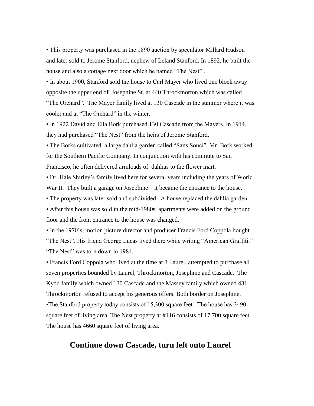• This property was purchased in the 1890 auction by speculator Millard Hudson and later sold to Jerome Stanford, nephew of Leland Stanford. In 1892, he built the house and also a cottage next door which he named "The Nest" .

• In about 1900, Stanford sold the house to Carl Mayer who lived one block away opposite the upper end of Josephine St. at 440 Throckmorton which was called "The Orchard". The Mayer family lived at 130 Cascade in the summer where it was cooler and at "The Orchard" in the winter.

• In 1922 David and Ella Bork purchased 130 Cascade from the Mayers. In 1914, they had purchased "The Nest" from the heirs of Jerome Stanford.

• The Borks cultivated a large dahlia garden called "Sans Souci". Mr. Bork worked for the Southern Pacific Company. In conjunction with his commute to San Francisco, he often delivered armloads of dahlias to the flower mart.

• Dr. Hale Shirley's family lived here for several years including the years of World War II. They built a garage on Josephine—it became the entrance to the house.

• The property was later sold and subdivided. A house replaced the dahlia garden.

• After this house was sold in the mid-1980s, apartments were added on the ground floor and the front entrance to the house was changed.

• In the 1970's, motion picture director and producer Francis Ford Coppola bought "The Nest". His friend George Lucas lived there while writing "American Graffiti." "The Nest" was torn down in 1984.

• Francis Ford Coppola who lived at the time at 8 Laurel, attempted to purchase all seven properties bounded by Laurel, Throckmorton, Josephine and Cascade. The Kydd family which owned 130 Cascade and the Massey family which owned 431 Throckmorton refused to accept his generous offers. Both border on Josephine. •The Stanford property today consists of 15,300 square feet. The house has 3490 square feet of living area. The Nest property at #116 consists of 17,700 square feet. The house has 4660 square feet of living area.

#### **Continue down Cascade, turn left onto Laurel**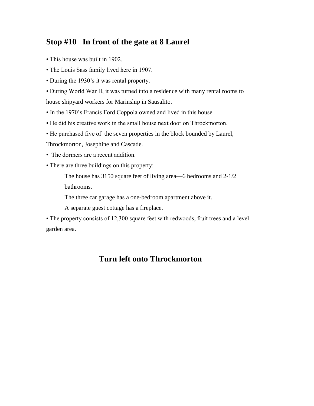# **Stop #10 In front of the gate at 8 Laurel**

- This house was built in 1902.
- The Louis Sass family lived here in 1907.
- During the 1930's it was rental property.

• During World War II, it was turned into a residence with many rental rooms to house shipyard workers for Marinship in Sausalito.

- In the 1970's Francis Ford Coppola owned and lived in this house.
- He did his creative work in the small house next door on Throckmorton.
- He purchased five of the seven properties in the block bounded by Laurel,

Throckmorton, Josephine and Cascade.

- The dormers are a recent addition.
- There are three buildings on this property:

The house has 3150 square feet of living area—6 bedrooms and 2-1/2

bathrooms.

The three car garage has a one-bedroom apartment above it.

A separate guest cottage has a fireplace.

• The property consists of 12,300 square feet with redwoods, fruit trees and a level garden area.

# **Turn left onto Throckmorton**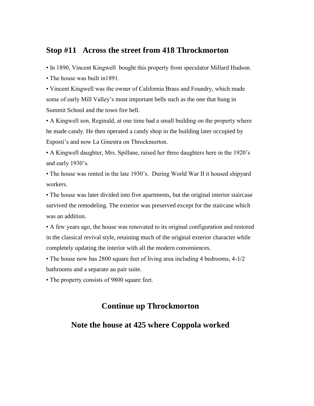#### **Stop #11 Across the street from 418 Throckmorton**

• In 1890, Vincent Kingwell bought this property from speculator Millard Hudson.

• The house was built in1891.

• Vincent Kingwell was the owner of California Brass and Foundry, which made some of early Mill Valley's most important bells such as the one that hung in Summit School and the town fire bell.

• A Kingwell son, Reginald, at one time had a small building on the property where he made candy. He then operated a candy shop in the building later occupied by Esposti's and now La Ginestra on Throckmorton.

• A Kingwell daughter, Mrs. Spillane, raised her three daughters here in the 1920's and early 1930's.

• The house was rented in the late 1930's. During World War II it housed shipyard workers.

• The house was later divided into five apartments, but the original interior staircase survived the remodeling. The exterior was preserved except for the staircase which was an addition.

• A few years ago, the house was renovated to its original configuration and restored in the classical revival style, retaining much of the original exterior character while completely updating the interior with all the modern conveniences.

• The house now has 2800 square feet of living area including 4 bedrooms, 4-1/2 bathrooms and a separate au pair suite.

• The property consists of 9800 square feet.

# **Continue up Throckmorton**

#### **Note the house at 425 where Coppola worked**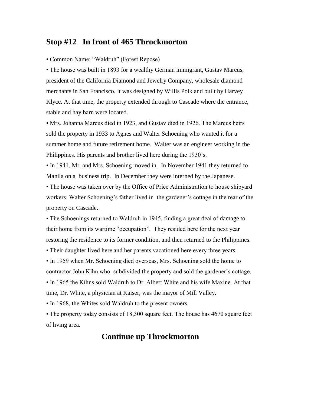#### **Stop #12 In front of 465 Throckmorton**

• Common Name: "Waldruh" (Forest Repose)

• The house was built in 1893 for a wealthy German immigrant, Gustav Marcus, president of the California Diamond and Jewelry Company, wholesale diamond merchants in San Francisco. It was designed by Willis Polk and built by Harvey Klyce. At that time, the property extended through to Cascade where the entrance, stable and hay barn were located.

• Mrs. Johanna Marcus died in 1923, and Gustav died in 1926. The Marcus heirs sold the property in 1933 to Agnes and Walter Schoening who wanted it for a summer home and future retirement home. Walter was an engineer working in the Philippines. His parents and brother lived here during the 1930's.

• In 1941, Mr. and Mrs. Schoening moved in. In November 1941 they returned to Manila on a business trip. In December they were interned by the Japanese.

• The house was taken over by the Office of Price Administration to house shipyard workers. Walter Schoening's father lived in the gardener's cottage in the rear of the property on Cascade.

• The Schoenings returned to Waldruh in 1945, finding a great deal of damage to their home from its wartime "occupation". They resided here for the next year restoring the residence to its former condition, and then returned to the Philippines.

• Their daughter lived here and her parents vacationed here every three years.

• In 1959 when Mr. Schoening died overseas, Mrs. Schoening sold the home to contractor John Kihn who subdivided the property and sold the gardener's cottage. • In 1965 the Kihns sold Waldruh to Dr. Albert White and his wife Maxine. At that time, Dr. White, a physician at Kaiser, was the mayor of Mill Valley.

• In 1968, the Whites sold Waldruh to the present owners.

• The property today consists of 18,300 square feet. The house has 4670 square feet of living area.

### **Continue up Throckmorton**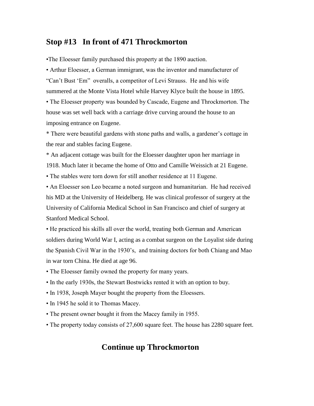# **Stop #13 In front of 471 Throckmorton**

•The Eloesser family purchased this property at the 1890 auction.

• Arthur Eloesser, a German immigrant, was the inventor and manufacturer of "Can't Bust 'Em" overalls, a competitor of Levi Strauss. He and his wife summered at the Monte Vista Hotel while Harvey Klyce built the house in 1895.

• The Eloesser property was bounded by Cascade, Eugene and Throckmorton. The house was set well back with a carriage drive curving around the house to an imposing entrance on Eugene.

\* There were beautiful gardens with stone paths and walls, a gardener's cottage in the rear and stables facing Eugene.

\* An adjacent cottage was built for the Eloesser daughter upon her marriage in 1918. Much later it became the home of Otto and Camille Weissich at 21 Eugene.

• The stables were torn down for still another residence at 11 Eugene.

• An Eloesser son Leo became a noted surgeon and humanitarian. He had received his MD at the University of Heidelberg. He was clinical professor of surgery at the University of California Medical School in San Francisco and chief of surgery at Stanford Medical School.

• He practiced his skills all over the world, treating both German and American soldiers during World War I, acting as a combat surgeon on the Loyalist side during the Spanish Civil War in the 1930's, and training doctors for both Chiang and Mao in war torn China. He died at age 96.

- The Eloesser family owned the property for many years.
- In the early 1930s, the Stewart Bostwicks rented it with an option to buy.
- In 1938, Joseph Mayer bought the property from the Eloessers.
- In 1945 he sold it to Thomas Macey.
- The present owner bought it from the Macey family in 1955.
- The property today consists of 27,600 square feet. The house has 2280 square feet.

## **Continue up Throckmorton**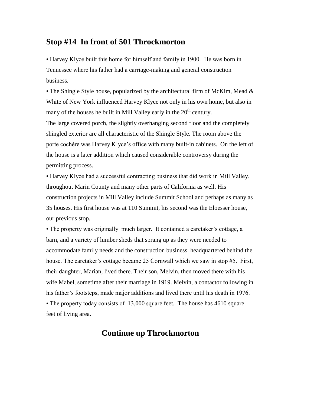#### **Stop #14 In front of 501 Throckmorton**

• Harvey Klyce built this home for himself and family in 1900. He was born in Tennessee where his father had a carriage-making and general construction business.

• The Shingle Style house, popularized by the architectural firm of McKim, Mead & White of New York influenced Harvey Klyce not only in his own home, but also in many of the houses he built in Mill Valley early in the  $20<sup>th</sup>$  century. The large covered porch, the slightly overhanging second floor and the completely shingled exterior are all characteristic of the Shingle Style. The room above the porte cochère was Harvey Klyce's office with many built-in cabinets. On the left of the house is a later addition which caused considerable controversy during the permitting process.

• Harvey Klyce had a successful contracting business that did work in Mill Valley, throughout Marin County and many other parts of California as well. His construction projects in Mill Valley include Summit School and perhaps as many as 35 houses. His first house was at 110 Summit, his second was the Eloesser house, our previous stop.

• The property was originally much larger. It contained a caretaker's cottage, a barn, and a variety of lumber sheds that sprang up as they were needed to accommodate family needs and the construction business headquartered behind the house. The caretaker's cottage became 25 Cornwall which we saw in stop #5. First, their daughter, Marian, lived there. Their son, Melvin, then moved there with his wife Mabel, sometime after their marriage in 1919. Melvin, a contactor following in his father's footsteps, made major additions and lived there until his death in 1976. • The property today consists of 13,000 square feet. The house has 4610 square feet of living area.

#### **Continue up Throckmorton**